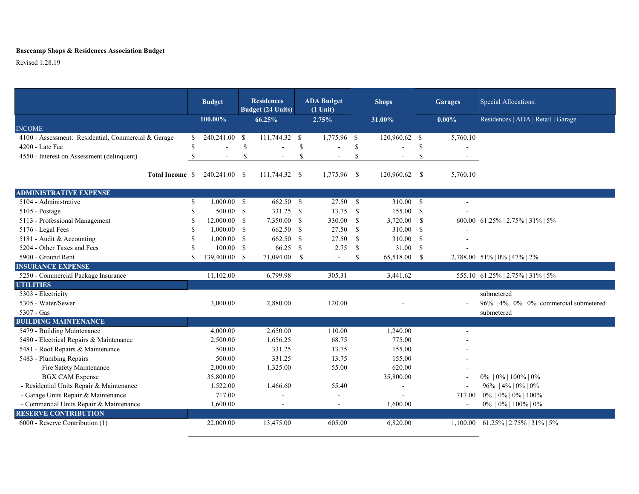## **Basecamp Shops & Residences Association Budget**

Revised 1.28.19

|                                                     |               | <b>Budget</b>  |               | <b>Residences</b><br><b>Budget (24 Units)</b> |              | <b>ADA Budget</b><br>$(1$ Unit) | <b>Shops</b>  |               |               | <b>Garages</b> | Special Allocations:                     |  |  |  |
|-----------------------------------------------------|---------------|----------------|---------------|-----------------------------------------------|--------------|---------------------------------|---------------|---------------|---------------|----------------|------------------------------------------|--|--|--|
|                                                     |               | 100.00%        |               | 66.25%                                        |              | 2.75%                           |               | 31.00%        | $0.00\%$      |                | Residences   ADA   Retail   Garage       |  |  |  |
| <b>INCOME</b>                                       |               |                |               |                                               |              |                                 |               |               |               |                |                                          |  |  |  |
| 4100 - Assessment: Residential, Commercial & Garage | S             | 240,241.00     | <b>S</b>      | 111,744.32 \$                                 |              | 1,775.96 \$                     |               | 120,960.62 \$ |               | 5,760.10       |                                          |  |  |  |
| 4200 - Late Fee                                     | \$            |                | $\mathcal{S}$ |                                               | \$           |                                 | <sup>\$</sup> |               | \$            |                |                                          |  |  |  |
| 4550 - Interest on Assessment (delinquent)          | $\mathbf S$   | $\sim$         | $\mathcal{S}$ | $\overline{a}$                                | \$           | $\sim$                          | <sup>\$</sup> |               | <sup>\$</sup> |                |                                          |  |  |  |
|                                                     |               |                |               |                                               |              | 1,775.96                        |               | 120,960.62    |               |                |                                          |  |  |  |
| Total Income \$                                     |               | 240,241.00 \$  |               | 111,744.32                                    | - S          |                                 | - \$          |               | - \$          | 5,760.10       |                                          |  |  |  |
| <b>ADMINISTRATIVE EXPENSE</b>                       |               |                |               |                                               |              |                                 |               |               |               |                |                                          |  |  |  |
| 5104 - Administrative                               | $\mathbb{S}$  | $1,000.00$ \$  |               | 662.50 \$                                     |              | $27.50$ \$                      |               | 310.00        | $\mathbf{s}$  |                |                                          |  |  |  |
| $5105$ - Postage                                    | <sup>\$</sup> | 500.00 S       |               | 331.25 \$                                     |              | 13.75                           | - \$          | 155.00 \$     |               |                |                                          |  |  |  |
| 5113 - Professional Management                      | <sup>\$</sup> | $12,000.00$ \$ |               | 7,350.00 \$                                   |              | 330.00                          | - \$          | 3,720.00      | - \$          |                | 600.00 61.25%   2.75%   31%   5%         |  |  |  |
| 5176 - Legal Fees                                   | <sup>\$</sup> | $1,000.00$ \$  |               | 662.50 \$                                     |              | 27.50                           | - \$          | 310.00        | $\mathbf{s}$  |                |                                          |  |  |  |
| 5181 - Audit & Accounting                           | <b>S</b>      | $1,000.00$ \$  |               | 662.50                                        | - \$         | 27.50                           | <sup>\$</sup> | 310.00 \$     |               |                |                                          |  |  |  |
| 5204 - Other Taxes and Fees                         | <sup>\$</sup> | $100.00$ \$    |               | 66.25                                         | $\mathbf{s}$ | 2.75                            | <sup>\$</sup> | 31.00 \$      |               |                |                                          |  |  |  |
| 5900 - Ground Rent                                  | <sup>\$</sup> | 139,400.00 \$  |               | 71,094.00                                     | <b>S</b>     | $\sim$                          | <sup>\$</sup> | 65,518.00     | <b>S</b>      |                | 2,788.00 51%   0%   47%   2%             |  |  |  |
| <b>INSURANCE EXPENSE</b>                            |               |                |               |                                               |              |                                 |               |               |               |                |                                          |  |  |  |
| 5250 - Commercial Package Insurance                 |               | 11,102.00      |               | 6,799.98                                      |              | 305.31                          |               | 3,441.62      |               |                | 555.10 61.25%   2.75%   31%   5%         |  |  |  |
| <b>UTILITIES</b>                                    |               |                |               |                                               |              |                                 |               |               |               |                |                                          |  |  |  |
| 5303 - Electricity                                  |               |                |               |                                               |              |                                 |               |               |               |                | submetered                               |  |  |  |
| 5305 - Water/Sewer                                  |               | 3,000.00       |               | 2,880.00                                      |              | 120.00                          |               |               |               |                | 96%   4%   0%   0% commercial submetered |  |  |  |
| 5307 - Gas                                          |               |                |               |                                               |              |                                 |               |               |               | submetered     |                                          |  |  |  |
| <b>BUILDING MAINTENANCE</b>                         |               |                |               |                                               |              |                                 |               |               |               |                |                                          |  |  |  |
| 5479 - Building Maintenance                         |               | 4,000.00       |               | 2,650.00                                      |              | 110.00                          |               | 1,240.00      |               |                |                                          |  |  |  |
| 5480 - Electrical Repairs & Maintenance             |               | 2,500.00       |               | 1,656.25                                      |              | 68.75                           |               | 775.00        |               |                |                                          |  |  |  |
| 5481 - Roof Repairs & Maintenance                   |               | 500.00         |               | 331.25                                        |              | 13.75                           |               | 155.00        |               |                |                                          |  |  |  |
| 5483 - Plumbing Repairs                             |               | 500.00         |               | 331.25                                        |              | 13.75                           |               | 155.00        |               |                |                                          |  |  |  |
| Fire Safety Maintenance                             |               | 2,000.00       |               | 1,325.00                                      |              | 55.00                           |               | 620.00        |               |                |                                          |  |  |  |
| <b>BGX CAM Expense</b>                              |               | 35,800.00      |               |                                               |              |                                 |               | 35,800.00     |               |                | $0\%$   $0\%$   $100\%$   $0\%$          |  |  |  |
| - Residential Units Repair & Maintenance            |               | 1,522.00       |               | 1,466.60                                      |              | 55.40                           |               |               |               |                | 96%   4%   0%   0%                       |  |  |  |
| - Garage Units Repair & Maintenance                 |               | 717.00         |               |                                               |              | $\sim$                          |               |               |               | 717.00         | $0\%$   $0\%$   $0\%$   $100\%$          |  |  |  |
| - Commercial Units Repair & Maintenance             |               | 1,600.00       |               | $\sim$                                        |              | $\sim$                          |               | 1,600.00      |               | $\sim$         | $0\%$   $0\%$   $100\%$   $0\%$          |  |  |  |
| <b>RESERVE CONTRIBUTION</b>                         |               |                |               |                                               |              |                                 |               |               |               |                |                                          |  |  |  |
| 6000 - Reserve Contribution (1)                     |               | 22,000.00      |               | 13,475.00                                     |              | 605.00                          |               | 6,820.00      |               |                | 1,100.00 61.25%   2.75%   31%   5%       |  |  |  |